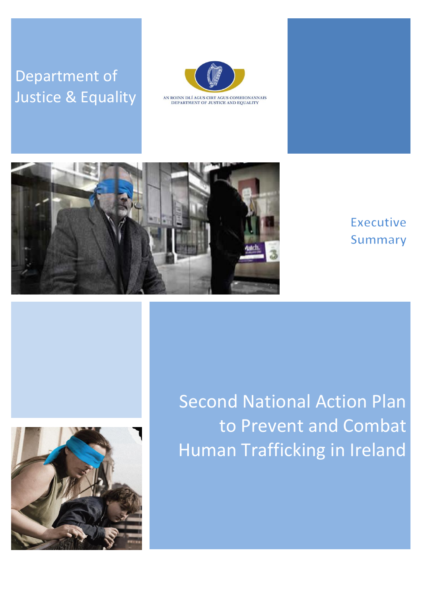# Department of Justice & Equality



AN ROINN DLÍ AGUS CIRT AGUS COMHIONANNAIS<br>DEPARTMENT OF JUSTICE AND EQUALITY



## Executive **Summary**



Second National Action Plan to Prevent and Combat Human Trafficking in Ireland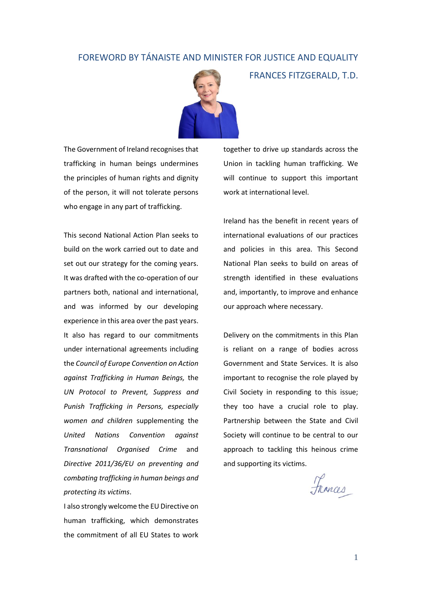#### FOREWORD BY TÁNAISTE AND MINISTER FOR JUSTICE AND EQUALITY



The Government of Ireland recognises that trafficking in human beings undermines the principles of human rights and dignity of the person, it will not tolerate persons who engage in any part of trafficking.

This second National Action Plan seeks to build on the work carried out to date and set out our strategy for the coming years. It was drafted with the co-operation of our partners both, national and international, and was informed by our developing experience in this area over the past years. It also has regard to our commitments under international agreements including the *Council of Europe Convention on Action against Trafficking in Human Beings,* the *UN Protocol to Prevent, Suppress and Punish Trafficking in Persons, especially women and children* supplementing the *United Nations Convention against Transnational Organised Crime* and *Directive 2011/36/EU on preventing and combating trafficking in human beings and protecting its victims*.

I also strongly welcome the EU Directive on human trafficking, which demonstrates the commitment of all EU States to work together to drive up standards across the Union in tackling human trafficking. We will continue to support this important work at international level.

FRANCES FITZGERALD, T.D.

Ireland has the benefit in recent years of international evaluations of our practices and policies in this area. This Second National Plan seeks to build on areas of strength identified in these evaluations and, importantly, to improve and enhance our approach where necessary.

Delivery on the commitments in this Plan is reliant on a range of bodies across Government and State Services. It is also important to recognise the role played by Civil Society in responding to this issue; they too have a crucial role to play. Partnership between the State and Civil Society will continue to be central to our approach to tackling this heinous crime and supporting its victims.

Frances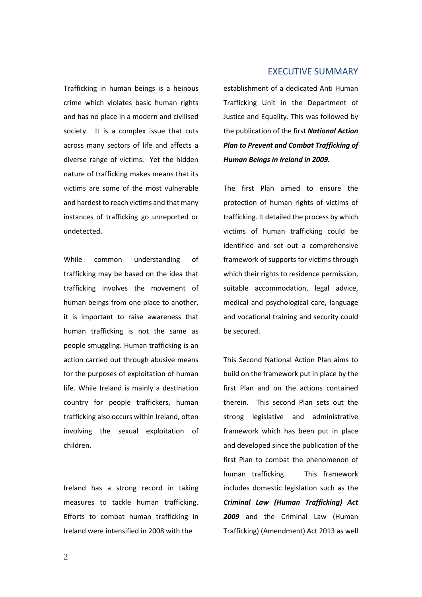Trafficking in human beings is a heinous crime which violates basic human rights and has no place in a modern and civilised society. It is a complex issue that cuts across many sectors of life and affects a diverse range of victims. Yet the hidden nature of trafficking makes means that its victims are some of the most vulnerable and hardest to reach victims and that many instances of trafficking go unreported or undetected.

While common understanding of trafficking may be based on the idea that trafficking involves the movement of human beings from one place to another, it is important to raise awareness that human trafficking is not the same as people smuggling. Human trafficking is an action carried out through abusive means for the purposes of exploitation of human life. While Ireland is mainly a destination country for people traffickers, human trafficking also occurs within Ireland, often involving the sexual exploitation of children.

Ireland has a strong record in taking measures to tackle human trafficking. Efforts to combat human trafficking in Ireland were intensified in 2008 with the

#### EXECUTIVE SUMMARY

establishment of a dedicated Anti Human Trafficking Unit in the Department of Justice and Equality. This was followed by the publication of the first *National Action Plan to Prevent and Combat Trafficking of Human Beings in Ireland in 2009.*

The first Plan aimed to ensure the protection of human rights of victims of trafficking. It detailed the process by which victims of human trafficking could be identified and set out a comprehensive framework of supports for victims through which their rights to residence permission, suitable accommodation, legal advice, medical and psychological care, language and vocational training and security could be secured.

This Second National Action Plan aims to build on the framework put in place by the first Plan and on the actions contained therein. This second Plan sets out the strong legislative and administrative framework which has been put in place and developed since the publication of the first Plan to combat the phenomenon of human trafficking. This framework includes domestic legislation such as the *Criminal Law (Human Trafficking) Act 2009* and the Criminal Law (Human Trafficking) (Amendment) Act 2013 as well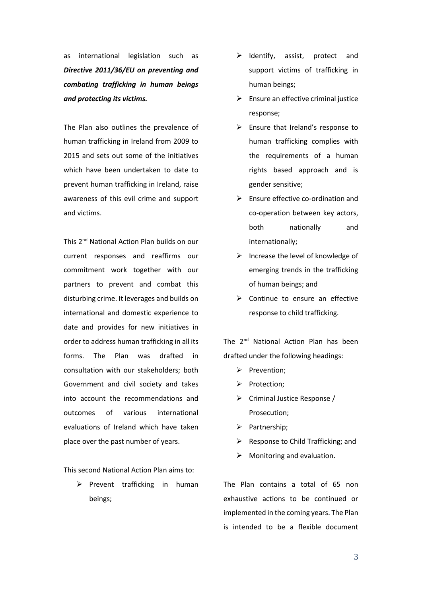as international legislation such as *Directive 2011/36/EU on preventing and combating trafficking in human beings and protecting its victims.*

The Plan also outlines the prevalence of human trafficking in Ireland from 2009 to 2015 and sets out some of the initiatives which have been undertaken to date to prevent human trafficking in Ireland, raise awareness of this evil crime and support and victims.

This 2<sup>nd</sup> National Action Plan builds on our current responses and reaffirms our commitment work together with our partners to prevent and combat this disturbing crime. It leverages and builds on international and domestic experience to date and provides for new initiatives in order to address human trafficking in all its forms. The Plan was drafted in consultation with our stakeholders; both Government and civil society and takes into account the recommendations and outcomes of various international evaluations of Ireland which have taken place over the past number of years.

This second National Action Plan aims to:

 $\triangleright$  Prevent trafficking in human beings;

- $\triangleright$  Identify, assist, protect and support victims of trafficking in human beings;
- $\triangleright$  Ensure an effective criminal justice response;
- $\triangleright$  Ensure that Ireland's response to human trafficking complies with the requirements of a human rights based approach and is gender sensitive;
- $\triangleright$  Ensure effective co-ordination and co-operation between key actors, both nationally and internationally;
- $\triangleright$  Increase the level of knowledge of emerging trends in the trafficking of human beings; and
- $\triangleright$  Continue to ensure an effective response to child trafficking.

The 2<sup>nd</sup> National Action Plan has been drafted under the following headings:

- $\triangleright$  Prevention:
- $\triangleright$  Protection;
- ▶ Criminal Justice Response / Prosecution;
- $\triangleright$  Partnership;
- $\triangleright$  Response to Child Trafficking; and
- Monitoring and evaluation.

The Plan contains a total of 65 non exhaustive actions to be continued or implemented in the coming years. The Plan is intended to be a flexible document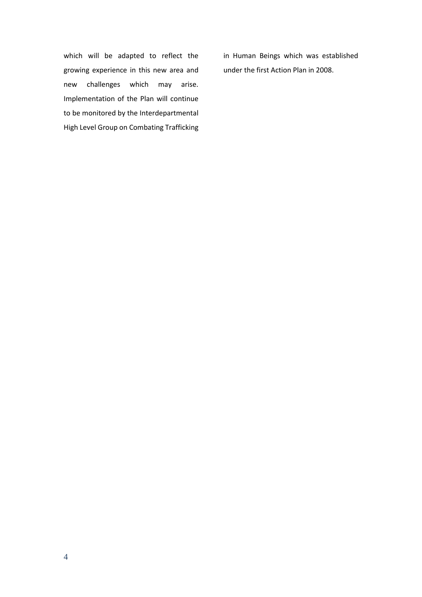which will be adapted to reflect the growing experience in this new area and new challenges which may arise. Implementation of the Plan will continue to be monitored by the Interdepartmental High Level Group on Combating Trafficking

in Human Beings which was established under the first Action Plan in 2008.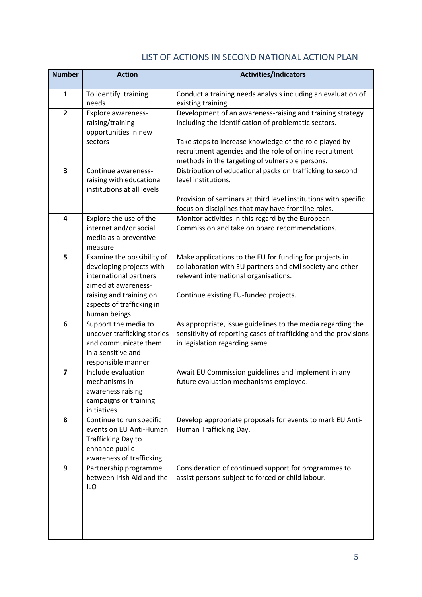### LIST OF ACTIONS IN SECOND NATIONAL ACTION PLAN

| <b>Number</b>           | <b>Action</b>                                                                                                                                                                   | <b>Activities/Indicators</b>                                                                                                                                                                                                                                                              |
|-------------------------|---------------------------------------------------------------------------------------------------------------------------------------------------------------------------------|-------------------------------------------------------------------------------------------------------------------------------------------------------------------------------------------------------------------------------------------------------------------------------------------|
| $\mathbf{1}$            | To identify training<br>needs                                                                                                                                                   | Conduct a training needs analysis including an evaluation of<br>existing training.                                                                                                                                                                                                        |
| $\overline{2}$          | Explore awareness-<br>raising/training<br>opportunities in new<br>sectors                                                                                                       | Development of an awareness-raising and training strategy<br>including the identification of problematic sectors.<br>Take steps to increase knowledge of the role played by<br>recruitment agencies and the role of online recruitment<br>methods in the targeting of vulnerable persons. |
| 3                       | Continue awareness-<br>raising with educational<br>institutions at all levels                                                                                                   | Distribution of educational packs on trafficking to second<br>level institutions.<br>Provision of seminars at third level institutions with specific<br>focus on disciplines that may have frontline roles.                                                                               |
| 4                       | Explore the use of the<br>internet and/or social<br>media as a preventive<br>measure                                                                                            | Monitor activities in this regard by the European<br>Commission and take on board recommendations.                                                                                                                                                                                        |
| 5                       | Examine the possibility of<br>developing projects with<br>international partners<br>aimed at awareness-<br>raising and training on<br>aspects of trafficking in<br>human beings | Make applications to the EU for funding for projects in<br>collaboration with EU partners and civil society and other<br>relevant international organisations.<br>Continue existing EU-funded projects.                                                                                   |
| 6                       | Support the media to<br>uncover trafficking stories<br>and communicate them<br>in a sensitive and<br>responsible manner                                                         | As appropriate, issue guidelines to the media regarding the<br>sensitivity of reporting cases of trafficking and the provisions<br>in legislation regarding same.                                                                                                                         |
| $\overline{\mathbf{z}}$ | Include evaluation<br>mechanisms in<br>awareness raising<br>campaigns or training<br>initiatives                                                                                | Await EU Commission guidelines and implement in any<br>future evaluation mechanisms employed.                                                                                                                                                                                             |
| 8                       | Continue to run specific<br>events on EU Anti-Human<br>Trafficking Day to<br>enhance public<br>awareness of trafficking                                                         | Develop appropriate proposals for events to mark EU Anti-<br>Human Trafficking Day.                                                                                                                                                                                                       |
| 9                       | Partnership programme<br>between Irish Aid and the<br><b>ILO</b>                                                                                                                | Consideration of continued support for programmes to<br>assist persons subject to forced or child labour.                                                                                                                                                                                 |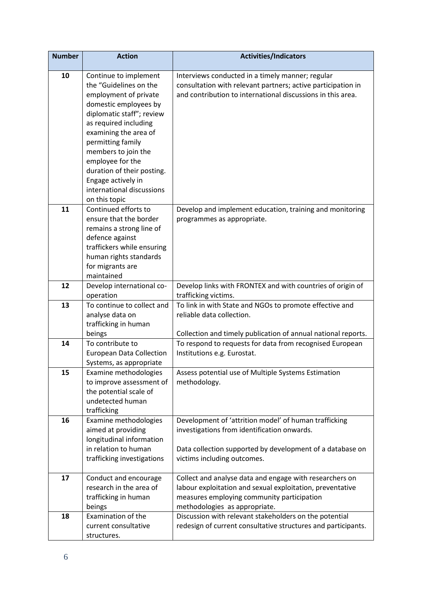| <b>Number</b> | <b>Action</b>                                      | <b>Activities/Indicators</b>                                                       |
|---------------|----------------------------------------------------|------------------------------------------------------------------------------------|
| 10            | Continue to implement                              | Interviews conducted in a timely manner; regular                                   |
|               | the "Guidelines on the                             | consultation with relevant partners; active participation in                       |
|               | employment of private                              | and contribution to international discussions in this area.                        |
|               | domestic employees by<br>diplomatic staff"; review |                                                                                    |
|               | as required including                              |                                                                                    |
|               | examining the area of                              |                                                                                    |
|               | permitting family                                  |                                                                                    |
|               | members to join the                                |                                                                                    |
|               | employee for the                                   |                                                                                    |
|               | duration of their posting.                         |                                                                                    |
|               | Engage actively in                                 |                                                                                    |
|               | international discussions                          |                                                                                    |
| 11            | on this topic<br>Continued efforts to              | Develop and implement education, training and monitoring                           |
|               | ensure that the border                             | programmes as appropriate.                                                         |
|               | remains a strong line of                           |                                                                                    |
|               | defence against                                    |                                                                                    |
|               | traffickers while ensuring                         |                                                                                    |
|               | human rights standards                             |                                                                                    |
|               | for migrants are                                   |                                                                                    |
|               | maintained                                         |                                                                                    |
| 12            | Develop international co-<br>operation             | Develop links with FRONTEX and with countries of origin of<br>trafficking victims. |
| 13            | To continue to collect and                         | To link in with State and NGOs to promote effective and                            |
|               | analyse data on                                    | reliable data collection.                                                          |
|               | trafficking in human                               |                                                                                    |
|               | beings                                             | Collection and timely publication of annual national reports.                      |
| 14            | To contribute to                                   | To respond to requests for data from recognised European                           |
|               | <b>European Data Collection</b>                    | Institutions e.g. Eurostat.                                                        |
|               | Systems, as appropriate                            |                                                                                    |
| 15            | Examine methodologies                              | Assess potential use of Multiple Systems Estimation                                |
|               | to improve assessment of<br>the potential scale of | methodology.                                                                       |
|               | undetected human                                   |                                                                                    |
|               | trafficking                                        |                                                                                    |
| 16            | Examine methodologies                              | Development of 'attrition model' of human trafficking                              |
|               | aimed at providing                                 | investigations from identification onwards.                                        |
|               | longitudinal information                           |                                                                                    |
|               | in relation to human                               | Data collection supported by development of a database on                          |
|               | trafficking investigations                         | victims including outcomes.                                                        |
| 17            | Conduct and encourage                              | Collect and analyse data and engage with researchers on                            |
|               | research in the area of                            | labour exploitation and sexual exploitation, preventative                          |
|               | trafficking in human                               | measures employing community participation                                         |
|               | beings                                             | methodologies as appropriate.                                                      |
| 18            | Examination of the                                 | Discussion with relevant stakeholders on the potential                             |
|               | current consultative                               | redesign of current consultative structures and participants.                      |
|               | structures.                                        |                                                                                    |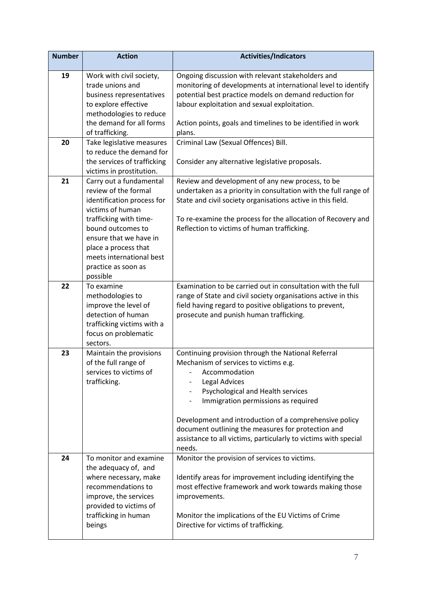| <b>Number</b> | <b>Action</b>                                       | <b>Activities/Indicators</b>                                                                                 |
|---------------|-----------------------------------------------------|--------------------------------------------------------------------------------------------------------------|
| 19            | Work with civil society,                            | Ongoing discussion with relevant stakeholders and                                                            |
|               | trade unions and                                    | monitoring of developments at international level to identify                                                |
|               | business representatives                            | potential best practice models on demand reduction for                                                       |
|               | to explore effective                                | labour exploitation and sexual exploitation.                                                                 |
|               | methodologies to reduce<br>the demand for all forms |                                                                                                              |
|               | of trafficking.                                     | Action points, goals and timelines to be identified in work<br>plans.                                        |
| 20            | Take legislative measures                           | Criminal Law (Sexual Offences) Bill.                                                                         |
|               | to reduce the demand for                            |                                                                                                              |
|               | the services of trafficking                         | Consider any alternative legislative proposals.                                                              |
|               | victims in prostitution.                            |                                                                                                              |
| 21            | Carry out a fundamental                             | Review and development of any new process, to be                                                             |
|               | review of the formal                                | undertaken as a priority in consultation with the full range of                                              |
|               | identification process for                          | State and civil society organisations active in this field.                                                  |
|               | victims of human                                    |                                                                                                              |
|               | trafficking with time-                              | To re-examine the process for the allocation of Recovery and                                                 |
|               | bound outcomes to                                   | Reflection to victims of human trafficking.                                                                  |
|               | ensure that we have in                              |                                                                                                              |
|               | place a process that                                |                                                                                                              |
|               | meets international best                            |                                                                                                              |
|               | practice as soon as                                 |                                                                                                              |
|               | possible                                            |                                                                                                              |
| 22            | To examine                                          | Examination to be carried out in consultation with the full                                                  |
|               | methodologies to                                    | range of State and civil society organisations active in this                                                |
|               | improve the level of<br>detection of human          | field having regard to positive obligations to prevent,<br>prosecute and punish human trafficking.           |
|               | trafficking victims with a                          |                                                                                                              |
|               | focus on problematic                                |                                                                                                              |
|               | sectors.                                            |                                                                                                              |
| 23            | Maintain the provisions                             | Continuing provision through the National Referral                                                           |
|               | of the full range of                                | Mechanism of services to victims e.g.                                                                        |
|               | services to victims of                              | Accommodation                                                                                                |
|               | trafficking.                                        | Legal Advices                                                                                                |
|               |                                                     | Psychological and Health services                                                                            |
|               |                                                     | Immigration permissions as required                                                                          |
|               |                                                     |                                                                                                              |
|               |                                                     | Development and introduction of a comprehensive policy<br>document outlining the measures for protection and |
|               |                                                     | assistance to all victims, particularly to victims with special                                              |
|               |                                                     | needs.                                                                                                       |
| 24            | To monitor and examine                              | Monitor the provision of services to victims.                                                                |
|               | the adequacy of, and                                |                                                                                                              |
|               | where necessary, make                               | Identify areas for improvement including identifying the                                                     |
|               | recommendations to                                  | most effective framework and work towards making those                                                       |
|               | improve, the services                               | improvements.                                                                                                |
|               | provided to victims of                              |                                                                                                              |
|               | trafficking in human                                | Monitor the implications of the EU Victims of Crime                                                          |
|               | beings                                              | Directive for victims of trafficking.                                                                        |
|               |                                                     |                                                                                                              |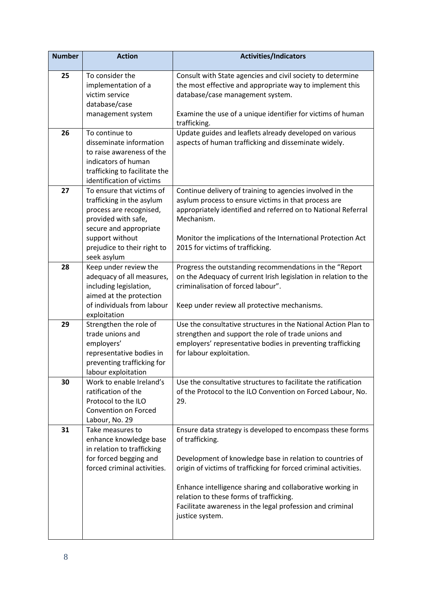| <b>Number</b> | <b>Action</b>                                                                                                                                                                                       | <b>Activities/Indicators</b>                                                                                                                                                                                                                                                                                                                                                                           |
|---------------|-----------------------------------------------------------------------------------------------------------------------------------------------------------------------------------------------------|--------------------------------------------------------------------------------------------------------------------------------------------------------------------------------------------------------------------------------------------------------------------------------------------------------------------------------------------------------------------------------------------------------|
| 25            | To consider the<br>implementation of a<br>victim service<br>database/case                                                                                                                           | Consult with State agencies and civil society to determine<br>the most effective and appropriate way to implement this<br>database/case management system.                                                                                                                                                                                                                                             |
|               | management system                                                                                                                                                                                   | Examine the use of a unique identifier for victims of human<br>trafficking.                                                                                                                                                                                                                                                                                                                            |
| 26            | To continue to<br>disseminate information<br>to raise awareness of the<br>indicators of human<br>trafficking to facilitate the<br>identification of victims                                         | Update guides and leaflets already developed on various<br>aspects of human trafficking and disseminate widely.                                                                                                                                                                                                                                                                                        |
| 27            | To ensure that victims of<br>trafficking in the asylum<br>process are recognised,<br>provided with safe,<br>secure and appropriate<br>support without<br>prejudice to their right to<br>seek asylum | Continue delivery of training to agencies involved in the<br>asylum process to ensure victims in that process are<br>appropriately identified and referred on to National Referral<br>Mechanism.<br>Monitor the implications of the International Protection Act<br>2015 for victims of trafficking.                                                                                                   |
| 28            | Keep under review the<br>adequacy of all measures,<br>including legislation,<br>aimed at the protection<br>of individuals from labour<br>exploitation                                               | Progress the outstanding recommendations in the "Report<br>on the Adequacy of current Irish legislation in relation to the<br>criminalisation of forced labour".<br>Keep under review all protective mechanisms.                                                                                                                                                                                       |
| 29            | Strengthen the role of<br>trade unions and<br>employers'<br>representative bodies in<br>preventing trafficking for<br>labour exploitation                                                           | Use the consultative structures in the National Action Plan to<br>strengthen and support the role of trade unions and<br>employers' representative bodies in preventing trafficking<br>for labour exploitation.                                                                                                                                                                                        |
| 30            | Work to enable Ireland's<br>ratification of the<br>Protocol to the ILO<br>Convention on Forced<br>Labour, No. 29                                                                                    | Use the consultative structures to facilitate the ratification<br>of the Protocol to the ILO Convention on Forced Labour, No.<br>29.                                                                                                                                                                                                                                                                   |
| 31            | Take measures to<br>enhance knowledge base<br>in relation to trafficking<br>for forced begging and<br>forced criminal activities.                                                                   | Ensure data strategy is developed to encompass these forms<br>of trafficking.<br>Development of knowledge base in relation to countries of<br>origin of victims of trafficking for forced criminal activities.<br>Enhance intelligence sharing and collaborative working in<br>relation to these forms of trafficking.<br>Facilitate awareness in the legal profession and criminal<br>justice system. |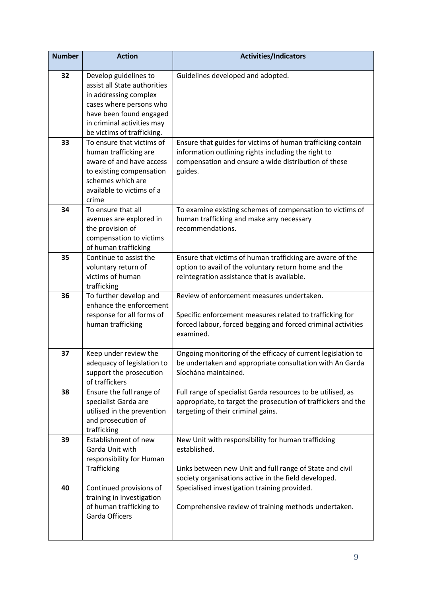| <b>Number</b> | <b>Action</b>                                     | <b>Activities/Indicators</b>                                  |
|---------------|---------------------------------------------------|---------------------------------------------------------------|
| 32            | Develop guidelines to                             | Guidelines developed and adopted.                             |
|               | assist all State authorities                      |                                                               |
|               | in addressing complex                             |                                                               |
|               | cases where persons who                           |                                                               |
|               | have been found engaged                           |                                                               |
|               | in criminal activities may                        |                                                               |
|               | be victims of trafficking.                        |                                                               |
| 33            | To ensure that victims of                         | Ensure that guides for victims of human trafficking contain   |
|               | human trafficking are                             | information outlining rights including the right to           |
|               | aware of and have access                          | compensation and ensure a wide distribution of these          |
|               | to existing compensation                          | guides.                                                       |
|               | schemes which are                                 |                                                               |
|               | available to victims of a                         |                                                               |
|               | crime                                             |                                                               |
| 34            | To ensure that all                                | To examine existing schemes of compensation to victims of     |
|               | avenues are explored in                           | human trafficking and make any necessary                      |
|               | the provision of                                  | recommendations.                                              |
|               | compensation to victims                           |                                                               |
|               | of human trafficking                              |                                                               |
| 35            | Continue to assist the                            | Ensure that victims of human trafficking are aware of the     |
|               | voluntary return of                               | option to avail of the voluntary return home and the          |
|               | victims of human                                  | reintegration assistance that is available.                   |
|               | trafficking                                       | Review of enforcement measures undertaken.                    |
| 36            | To further develop and<br>enhance the enforcement |                                                               |
|               | response for all forms of                         | Specific enforcement measures related to trafficking for      |
|               | human trafficking                                 | forced labour, forced begging and forced criminal activities  |
|               |                                                   | examined.                                                     |
|               |                                                   |                                                               |
| 37            | Keep under review the                             | Ongoing monitoring of the efficacy of current legislation to  |
|               | adequacy of legislation to                        | be undertaken and appropriate consultation with An Garda      |
|               | support the prosecution                           | Síochána maintained.                                          |
|               | of traffickers                                    |                                                               |
| 38            | Ensure the full range of                          | Full range of specialist Garda resources to be utilised, as   |
|               | specialist Garda are                              | appropriate, to target the prosecution of traffickers and the |
|               | utilised in the prevention                        | targeting of their criminal gains.                            |
|               | and prosecution of                                |                                                               |
|               | trafficking                                       |                                                               |
| 39            | Establishment of new                              | New Unit with responsibility for human trafficking            |
|               | Garda Unit with                                   | established.                                                  |
|               | responsibility for Human                          |                                                               |
|               | Trafficking                                       | Links between new Unit and full range of State and civil      |
|               |                                                   | society organisations active in the field developed.          |
| 40            | Continued provisions of                           | Specialised investigation training provided.                  |
|               | training in investigation                         |                                                               |
|               | of human trafficking to                           | Comprehensive review of training methods undertaken.          |
|               | <b>Garda Officers</b>                             |                                                               |
|               |                                                   |                                                               |
|               |                                                   |                                                               |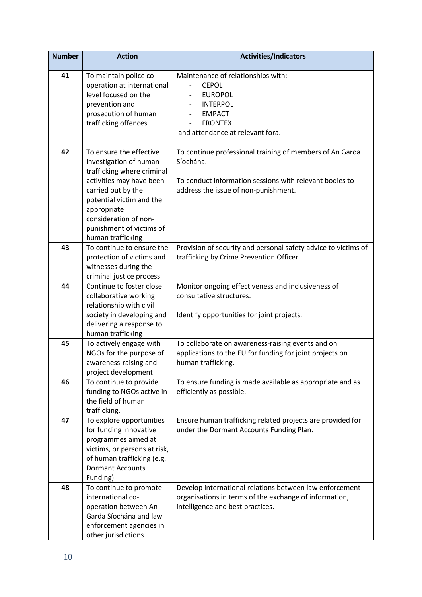| <b>Number</b> | <b>Action</b>                                                                                                                                                                                                                                          | <b>Activities/Indicators</b>                                                                                                                                             |
|---------------|--------------------------------------------------------------------------------------------------------------------------------------------------------------------------------------------------------------------------------------------------------|--------------------------------------------------------------------------------------------------------------------------------------------------------------------------|
| 41            | To maintain police co-<br>operation at international<br>level focused on the<br>prevention and<br>prosecution of human<br>trafficking offences                                                                                                         | Maintenance of relationships with:<br><b>CEPOL</b><br><b>EUROPOL</b><br><b>INTERPOL</b><br><b>EMPACT</b><br><b>FRONTEX</b><br>and attendance at relevant fora.           |
| 42            | To ensure the effective<br>investigation of human<br>trafficking where criminal<br>activities may have been<br>carried out by the<br>potential victim and the<br>appropriate<br>consideration of non-<br>punishment of victims of<br>human trafficking | To continue professional training of members of An Garda<br>Síochána.<br>To conduct information sessions with relevant bodies to<br>address the issue of non-punishment. |
| 43            | To continue to ensure the<br>protection of victims and<br>witnesses during the<br>criminal justice process                                                                                                                                             | Provision of security and personal safety advice to victims of<br>trafficking by Crime Prevention Officer.                                                               |
| 44            | Continue to foster close<br>collaborative working<br>relationship with civil<br>society in developing and<br>delivering a response to<br>human trafficking                                                                                             | Monitor ongoing effectiveness and inclusiveness of<br>consultative structures.<br>Identify opportunities for joint projects.                                             |
| 45            | To actively engage with<br>NGOs for the purpose of<br>awareness-raising and<br>project development                                                                                                                                                     | To collaborate on awareness-raising events and on<br>applications to the EU for funding for joint projects on<br>human trafficking.                                      |
| 46            | To continue to provide<br>funding to NGOs active in<br>the field of human<br>trafficking.                                                                                                                                                              | To ensure funding is made available as appropriate and as<br>efficiently as possible.                                                                                    |
| 47            | To explore opportunities<br>for funding innovative<br>programmes aimed at<br>victims, or persons at risk,<br>of human trafficking (e.g.<br><b>Dormant Accounts</b><br>Funding)                                                                         | Ensure human trafficking related projects are provided for<br>under the Dormant Accounts Funding Plan.                                                                   |
| 48            | To continue to promote<br>international co-<br>operation between An<br>Garda Síochána and law<br>enforcement agencies in<br>other jurisdictions                                                                                                        | Develop international relations between law enforcement<br>organisations in terms of the exchange of information,<br>intelligence and best practices.                    |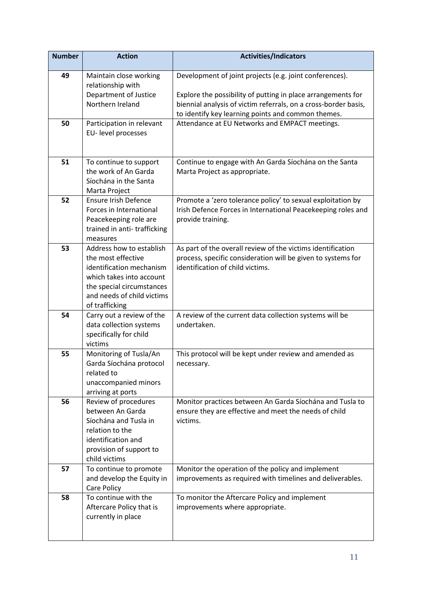| <b>Number</b> | <b>Action</b>                                                                                                                                                                       | <b>Activities/Indicators</b>                                                                                                                                    |
|---------------|-------------------------------------------------------------------------------------------------------------------------------------------------------------------------------------|-----------------------------------------------------------------------------------------------------------------------------------------------------------------|
| 49            | Maintain close working<br>relationship with<br>Department of Justice                                                                                                                | Development of joint projects (e.g. joint conferences).<br>Explore the possibility of putting in place arrangements for                                         |
|               | Northern Ireland                                                                                                                                                                    | biennial analysis of victim referrals, on a cross-border basis,<br>to identify key learning points and common themes.                                           |
| 50            | Participation in relevant<br>EU- level processes                                                                                                                                    | Attendance at EU Networks and EMPACT meetings.                                                                                                                  |
| 51            | To continue to support<br>the work of An Garda<br>Síochána in the Santa<br>Marta Project                                                                                            | Continue to engage with An Garda Síochána on the Santa<br>Marta Project as appropriate.                                                                         |
| 52            | <b>Ensure Irish Defence</b><br>Forces in International<br>Peacekeeping role are<br>trained in anti-trafficking<br>measures                                                          | Promote a 'zero tolerance policy' to sexual exploitation by<br>Irish Defence Forces in International Peacekeeping roles and<br>provide training.                |
| 53            | Address how to establish<br>the most effective<br>identification mechanism<br>which takes into account<br>the special circumstances<br>and needs of child victims<br>of trafficking | As part of the overall review of the victims identification<br>process, specific consideration will be given to systems for<br>identification of child victims. |
| 54            | Carry out a review of the<br>data collection systems<br>specifically for child<br>victims                                                                                           | A review of the current data collection systems will be<br>undertaken.                                                                                          |
| 55            | Monitoring of Tusla/An<br>Garda Síochána protocol<br>related to<br>unaccompanied minors<br>arriving at ports                                                                        | This protocol will be kept under review and amended as<br>necessary.                                                                                            |
| 56            | Review of procedures<br>between An Garda<br>Síochána and Tusla in<br>relation to the<br>identification and<br>provision of support to<br>child victims                              | Monitor practices between An Garda Síochána and Tusla to<br>ensure they are effective and meet the needs of child<br>victims.                                   |
| 57            | To continue to promote<br>and develop the Equity in<br>Care Policy                                                                                                                  | Monitor the operation of the policy and implement<br>improvements as required with timelines and deliverables.                                                  |
| 58            | To continue with the<br>Aftercare Policy that is<br>currently in place                                                                                                              | To monitor the Aftercare Policy and implement<br>improvements where appropriate.                                                                                |